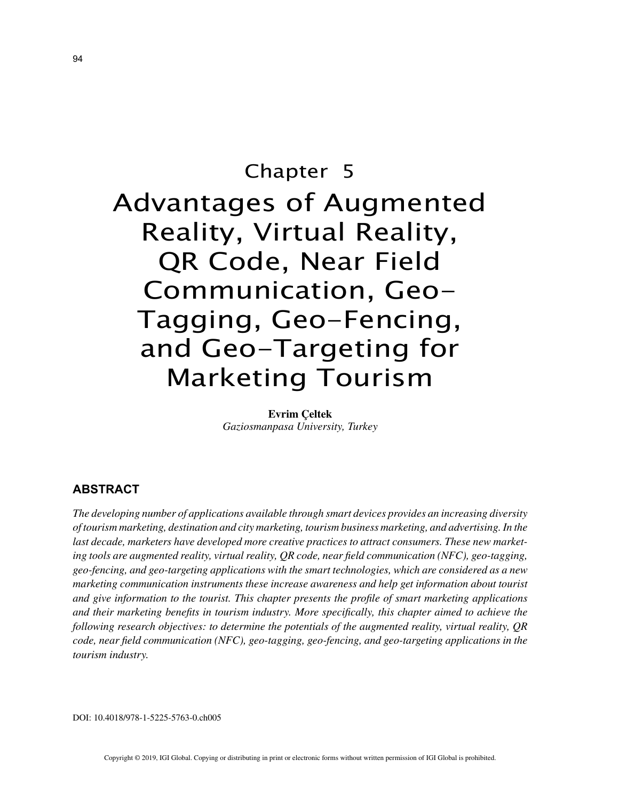# Chapter 5 Advantages of Augmented Reality, Virtual Reality, QR Code, Near Field Communication, Geo-Tagging, Geo-Fencing, and Geo-Targeting for Marketing Tourism

**Evrim Çeltek** *Gaziosmanpasa University, Turkey*

# **ABSTRACT**

*The developing number of applications available through smart devices provides an increasing diversity of tourism marketing, destination and city marketing, tourism business marketing, and advertising. In the last decade, marketers have developed more creative practices to attract consumers. These new marketing tools are augmented reality, virtual reality, QR code, near field communication (NFC), geo-tagging, geo-fencing, and geo-targeting applications with the smart technologies, which are considered as a new marketing communication instruments these increase awareness and help get information about tourist and give information to the tourist. This chapter presents the profile of smart marketing applications and their marketing benefits in tourism industry. More specifically, this chapter aimed to achieve the following research objectives: to determine the potentials of the augmented reality, virtual reality, QR code, near field communication (NFC), geo-tagging, geo-fencing, and geo-targeting applications in the tourism industry.*

DOI: 10.4018/978-1-5225-5763-0.ch005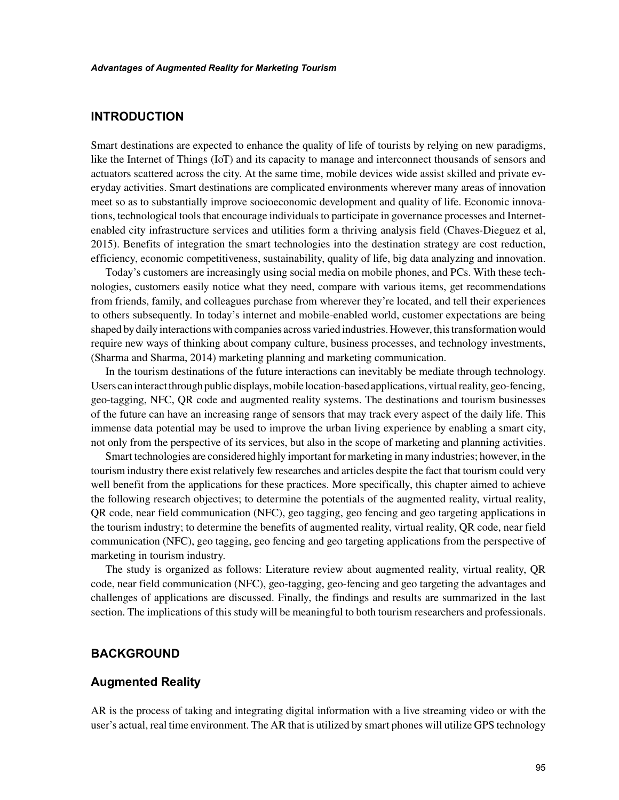# **INTRODUCTION**

Smart destinations are expected to enhance the quality of life of tourists by relying on new paradigms, like the Internet of Things (IoT) and its capacity to manage and interconnect thousands of sensors and actuators scattered across the city. At the same time, mobile devices wide assist skilled and private everyday activities. Smart destinations are complicated environments wherever many areas of innovation meet so as to substantially improve socioeconomic development and quality of life. Economic innovations, technological tools that encourage individuals to participate in governance processes and Internetenabled city infrastructure services and utilities form a thriving analysis field (Chaves-Dieguez et al, 2015). Benefits of integration the smart technologies into the destination strategy are cost reduction, efficiency, economic competitiveness, sustainability, quality of life, big data analyzing and innovation.

Today's customers are increasingly using social media on mobile phones, and PCs. With these technologies, customers easily notice what they need, compare with various items, get recommendations from friends, family, and colleagues purchase from wherever they're located, and tell their experiences to others subsequently. In today's internet and mobile-enabled world, customer expectations are being shaped by daily interactions with companies across varied industries. However, this transformation would require new ways of thinking about company culture, business processes, and technology investments, (Sharma and Sharma, 2014) marketing planning and marketing communication.

In the tourism destinations of the future interactions can inevitably be mediate through technology. Users can interact through public displays, mobile location-based applications, virtual reality, geo-fencing, geo-tagging, NFC, QR code and augmented reality systems. The destinations and tourism businesses of the future can have an increasing range of sensors that may track every aspect of the daily life. This immense data potential may be used to improve the urban living experience by enabling a smart city, not only from the perspective of its services, but also in the scope of marketing and planning activities.

Smart technologies are considered highly important for marketing in many industries; however, in the tourism industry there exist relatively few researches and articles despite the fact that tourism could very well benefit from the applications for these practices. More specifically, this chapter aimed to achieve the following research objectives; to determine the potentials of the augmented reality, virtual reality, QR code, near field communication (NFC), geo tagging, geo fencing and geo targeting applications in the tourism industry; to determine the benefits of augmented reality, virtual reality, QR code, near field communication (NFC), geo tagging, geo fencing and geo targeting applications from the perspective of marketing in tourism industry.

The study is organized as follows: Literature review about augmented reality, virtual reality, QR code, near field communication (NFC), geo-tagging, geo-fencing and geo targeting the advantages and challenges of applications are discussed. Finally, the findings and results are summarized in the last section. The implications of this study will be meaningful to both tourism researchers and professionals.

## **BACKGROUND**

## **Augmented Reality**

AR is the process of taking and integrating digital information with a live streaming video or with the user's actual, real time environment. The AR that is utilized by smart phones will utilize GPS technology